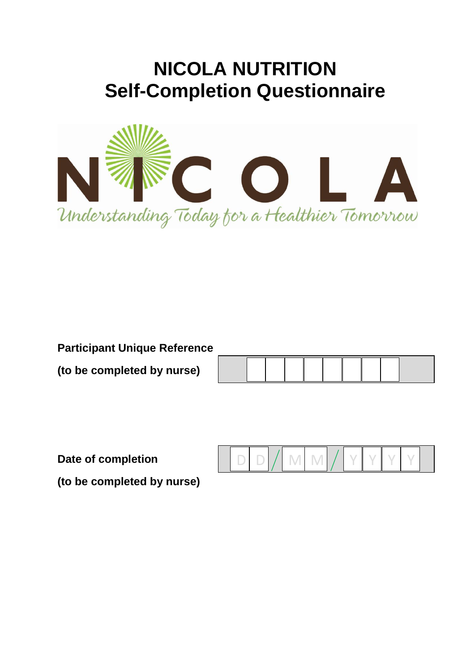# **NICOLA NUTRITION Self-Completion Questionnaire**



**Participant Unique Reference**

**(to be completed by nurse)** 

**Date of completion** 

 $D$   $D$   $/$  M M  $/$  Y Y Y Y

**(to be completed by nurse)**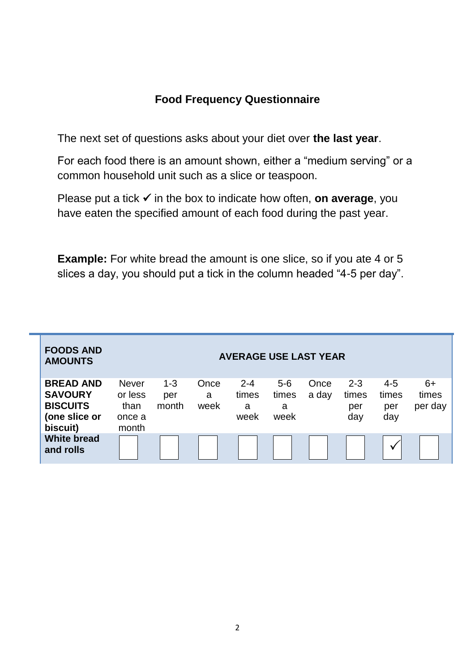### **Food Frequency Questionnaire**

The next set of questions asks about your diet over **the last year**.

For each food there is an amount shown, either a "medium serving" or a common household unit such as a slice or teaspoon.

Please put a tick  $\checkmark$  in the box to indicate how often, **on average**, you have eaten the specified amount of each food during the past year.

**Example:** For white bread the amount is one slice, so if you ate 4 or 5 slices a day, you should put a tick in the column headed "4-5 per day".

| <b>FOODS AND</b><br><b>AMOUNTS</b>                                                 |                                                    |                         |                   | <b>AVERAGE USE LAST YEAR</b>  |                             |               |                                |                                |                          |
|------------------------------------------------------------------------------------|----------------------------------------------------|-------------------------|-------------------|-------------------------------|-----------------------------|---------------|--------------------------------|--------------------------------|--------------------------|
| <b>BREAD AND</b><br><b>SAVOURY</b><br><b>BISCUITS</b><br>(one slice or<br>biscuit) | <b>Never</b><br>or less<br>than<br>once a<br>month | $1 - 3$<br>per<br>month | Once<br>a<br>week | $2 - 4$<br>times<br>a<br>week | $5-6$<br>times<br>a<br>week | Once<br>a day | $2 - 3$<br>times<br>per<br>day | $4 - 5$<br>times<br>per<br>day | $6+$<br>times<br>per day |
| <b>White bread</b><br>and rolls                                                    |                                                    |                         |                   |                               |                             |               |                                | v                              |                          |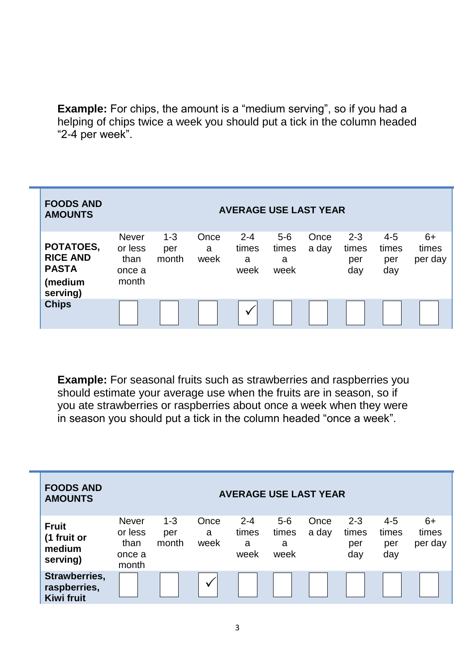**Example:** For chips, the amount is a "medium serving", so if you had a helping of chips twice a week you should put a tick in the column headed "2-4 per week".

| <b>FOODS AND</b><br><b>AMOUNTS</b>                                  |                                                    |                         |                   | <b>AVERAGE USE LAST YEAR</b>  |                             |               |                                |                                |                          |
|---------------------------------------------------------------------|----------------------------------------------------|-------------------------|-------------------|-------------------------------|-----------------------------|---------------|--------------------------------|--------------------------------|--------------------------|
| POTATOES,<br><b>RICE AND</b><br><b>PASTA</b><br>(medium<br>serving) | <b>Never</b><br>or less<br>than<br>once a<br>month | $1 - 3$<br>per<br>month | Once<br>a<br>week | $2 - 4$<br>times<br>a<br>week | $5-6$<br>times<br>a<br>week | Once<br>a day | $2 - 3$<br>times<br>per<br>day | $4 - 5$<br>times<br>per<br>day | $6+$<br>times<br>per day |
| <b>Chips</b>                                                        |                                                    |                         |                   | ν                             |                             |               |                                |                                |                          |

**Example:** For seasonal fruits such as strawberries and raspberries you should estimate your average use when the fruits are in season, so if you ate strawberries or raspberries about once a week when they were in season you should put a tick in the column headed "once a week".

| <b>FOODS AND</b><br><b>AMOUNTS</b>                 |                                                    |                         |                   | <b>AVERAGE USE LAST YEAR</b>  |                             |               |                                |                                |                          |
|----------------------------------------------------|----------------------------------------------------|-------------------------|-------------------|-------------------------------|-----------------------------|---------------|--------------------------------|--------------------------------|--------------------------|
| <b>Fruit</b><br>(1 fruit or<br>medium<br>serving)  | <b>Never</b><br>or less<br>than<br>once a<br>month | $1 - 3$<br>per<br>month | Once<br>a<br>week | $2 - 4$<br>times<br>a<br>week | $5-6$<br>times<br>a<br>week | Once<br>a day | $2 - 3$<br>times<br>per<br>day | $4 - 5$<br>times<br>per<br>day | $6+$<br>times<br>per day |
| Strawberries,<br>raspberries,<br><b>Kiwi fruit</b> |                                                    |                         | v                 |                               |                             |               |                                |                                |                          |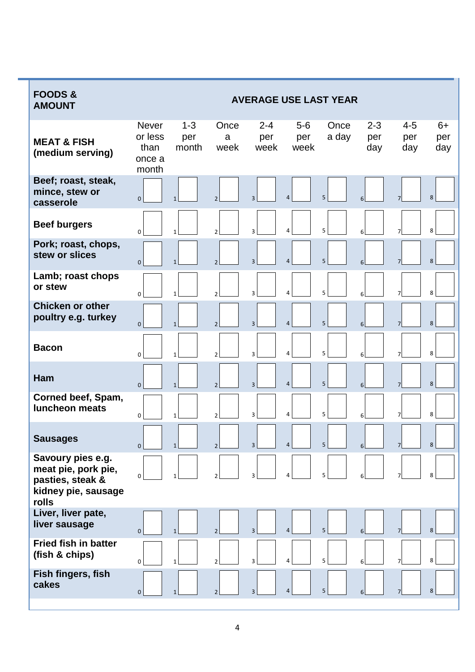| <b>FOODS&amp;</b><br><b>AMOUNT</b>                                                           |                                                    |                         |                          |                        |                      | <b>AVERAGE USE LAST YEAR</b> |                       |                       |                    |
|----------------------------------------------------------------------------------------------|----------------------------------------------------|-------------------------|--------------------------|------------------------|----------------------|------------------------------|-----------------------|-----------------------|--------------------|
| <b>MEAT &amp; FISH</b><br>(medium serving)                                                   | <b>Never</b><br>or less<br>than<br>once a<br>month | $1 - 3$<br>per<br>month | Once<br>a<br>week        | $2 - 4$<br>per<br>week | $5-6$<br>per<br>week | Once<br>a day                | $2 - 3$<br>per<br>day | $4 - 5$<br>per<br>day | $6+$<br>per<br>day |
| Beef; roast, steak,<br>mince, stew or<br>casserole                                           | $\mathbf 0$                                        | $\mathbf{1}$            | $\overline{\phantom{a}}$ | $\overline{3}$         | $\overline{4}$       | 5                            | 6                     | $\overline{7}$        | 8                  |
| <b>Beef burgers</b>                                                                          | $\Omega$                                           | $\mathbf{1}$            | $\overline{2}$           | 3                      | $\overline{a}$       | 5                            | 6                     | 7                     | 8                  |
| Pork; roast, chops,<br>stew or slices                                                        | $\mathbf{0}$                                       | $\mathbf{1}$            | $\overline{2}$           | $\overline{3}$         | $\overline{4}$       | 5                            | 6                     | $\overline{7}$        | 8                  |
| Lamb; roast chops<br>or stew                                                                 | $\mathbf 0$                                        | $\mathbf{1}$            | $\overline{2}$           | 3                      | $\overline{a}$       | 5                            | 6                     | 7                     | 8                  |
| <b>Chicken or other</b><br>poultry e.g. turkey                                               | $\mathbf 0$                                        | $\mathbf{1}$            | $\mathcal{P}$            | $\overline{3}$         | $\overline{4}$       | 5                            | 6                     | $\overline{7}$        | 8                  |
| <b>Bacon</b>                                                                                 | $\mathbf 0$                                        | $\mathbf{1}$            | $\overline{2}$           | 3                      | $\overline{4}$       | 5                            | 6                     | 7                     | 8                  |
| Ham                                                                                          | $\Omega$                                           | $\mathbf{1}$            | $\overline{2}$           | 3                      | $\overline{4}$       | 5                            | 6                     | $\overline{7}$        | 8                  |
| Corned beef, Spam,<br><b>luncheon meats</b>                                                  | $\Omega$                                           | $\mathbf{1}$            | $\mathfrak{p}$           | 3                      | 4                    | 5                            | 6                     | 7                     | 8                  |
| <b>Sausages</b>                                                                              | $\overline{0}$                                     | $\mathbf{1}$            | $\overline{2}$           | 3                      | 4                    | 5 <sup>1</sup>               | 6 <sup>1</sup>        | $\overline{7}$        | 8                  |
| Savoury pies e.g.<br>meat pie, pork pie,<br>pasties, steak &<br>kidney pie, sausage<br>rolls | 0                                                  |                         |                          | 3                      | 4                    | 5                            |                       |                       | 8                  |
| Liver, liver pate,<br>liver sausage                                                          | $\mathbf 0$                                        | $\mathbf{1}$            | $\overline{2}$           | 3 <sup>1</sup>         | $\overline{4}$       | 5                            | 6                     |                       | 8                  |
| <b>Fried fish in batter</b><br>(fish & chips)                                                | $\mathbf 0$                                        | $\mathbf{1}$            | $\overline{2}$           | 3                      | 4                    | 5                            | 6 <sup>1</sup>        | $\overline{7}$        | 8                  |
| Fish fingers, fish<br>cakes                                                                  | $\mathbf 0$                                        | $\mathbf{1}$            | $\overline{2}$           | 3                      | $\overline{4}$       | 5                            | 6                     | $\overline{7}$        | 8                  |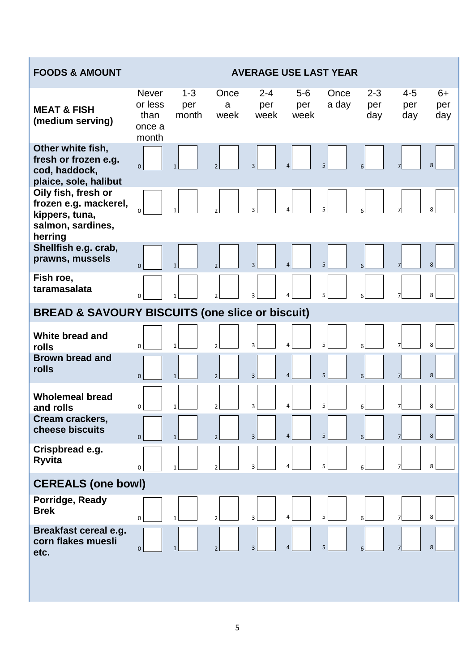| <b>FOODS &amp; AMOUNT</b>                                                                      |                                             |                         |                          |                        |                      | <b>AVERAGE USE LAST YEAR</b> |                       |                       |                    |
|------------------------------------------------------------------------------------------------|---------------------------------------------|-------------------------|--------------------------|------------------------|----------------------|------------------------------|-----------------------|-----------------------|--------------------|
| <b>MEAT &amp; FISH</b><br>(medium serving)                                                     | Never<br>or less<br>than<br>once a<br>month | $1 - 3$<br>per<br>month | Once<br>a<br>week        | $2 - 4$<br>per<br>week | $5-6$<br>per<br>week | Once<br>a day                | $2 - 3$<br>per<br>day | $4 - 5$<br>per<br>day | $6+$<br>per<br>day |
| Other white fish,<br>fresh or frozen e.g.<br>cod, haddock,<br>plaice, sole, halibut            | $\overline{0}$                              |                         | $\overline{\phantom{0}}$ | $\overline{3}$         | $\overline{4}$       | 5                            |                       |                       | 8                  |
| Oily fish, fresh or<br>frozen e.g. mackerel,<br>kippers, tuna,<br>salmon, sardines,<br>herring | $\Omega$                                    |                         |                          | $\overline{3}$         |                      | 5                            |                       |                       | 8                  |
| Shellfish e.g. crab,<br>prawns, mussels                                                        | $\overline{0}$                              | $\mathbf{1}$            | $\overline{2}$           | 3                      | 4                    | 5                            |                       |                       | 8                  |
| Fish roe,<br>taramasalata                                                                      | $\Omega$                                    |                         | $\mathfrak{p}$           | 3                      | 4                    | 5                            |                       |                       | 8                  |
| <b>BREAD &amp; SAVOURY BISCUITS (one slice or biscuit)</b>                                     |                                             |                         |                          |                        |                      |                              |                       |                       |                    |
| White bread and<br>rolls                                                                       | $\Omega$                                    |                         | $\mathfrak{p}$           | 3                      | 4                    | 5                            |                       |                       | 8                  |
| <b>Brown bread and</b><br>rolls                                                                | $\mathbf{0}$                                | $\mathbf{1}$            | $\overline{2}$           | $\overline{3}$         | $\overline{a}$       | 5                            | 6                     | $\overline{7}$        | 8                  |
| <b>Wholemeal bread</b><br>and rolls                                                            | 0                                           | $\mathbf{1}$            | $\overline{2}$           | 3                      | 4                    | 5                            |                       |                       | 8                  |
| Cream crackers,<br>cheese biscuits                                                             | $\overline{0}$                              | $\mathbf{1}$            | $\overline{2}$           | $\overline{3}$         | $\overline{4}$       | 5                            |                       | 7 <sup>1</sup>        | 8                  |
| Crispbread e.g.<br><b>Ryvita</b>                                                               | 0                                           | $\mathbf{1}$            | $\overline{2}$           | 3                      | 4                    | 5                            | 6                     | 7                     | 8                  |
| <b>CEREALS (one bowl)</b>                                                                      |                                             |                         |                          |                        |                      |                              |                       |                       |                    |
| Porridge, Ready<br><b>Brek</b>                                                                 | $\mathbf 0$                                 | $\mathbf{1}$            |                          | 3                      |                      | 5                            |                       |                       | 8                  |
| Breakfast cereal e.g.<br>corn flakes muesli<br>etc.                                            | $\mathbf{0}$                                | $\mathbf{1}$            | $\overline{2}$           | 3                      | 4                    | 5                            |                       | 7                     | 8                  |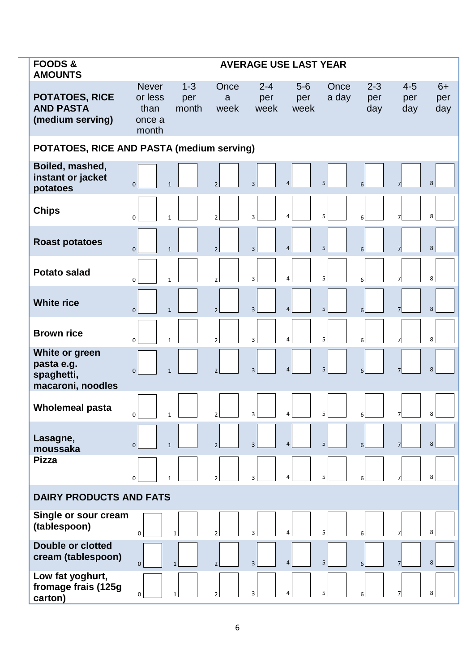| <b>FOODS &amp;</b><br><b>AMOUNTS</b>                            |                                                    |                         |                          | <b>AVERAGE USE LAST YEAR</b> |                      |                |                       |                       |                    |
|-----------------------------------------------------------------|----------------------------------------------------|-------------------------|--------------------------|------------------------------|----------------------|----------------|-----------------------|-----------------------|--------------------|
| <b>POTATOES, RICE</b><br><b>AND PASTA</b><br>(medium serving)   | <b>Never</b><br>or less<br>than<br>once a<br>month | $1 - 3$<br>per<br>month | Once<br>a<br>week        | $2 - 4$<br>per<br>week       | $5-6$<br>per<br>week | Once<br>a day  | $2 - 3$<br>per<br>day | $4 - 5$<br>per<br>day | $6+$<br>per<br>day |
| POTATOES, RICE AND PASTA (medium serving)                       |                                                    |                         |                          |                              |                      |                |                       |                       |                    |
| Boiled, mashed,<br>instant or jacket<br>potatoes                | $\mathbf{0}$                                       | $\mathbf{1}$            | $\overline{2}$           | $\overline{3}$               | $\overline{4}$       | 5              |                       |                       | 8                  |
| <b>Chips</b>                                                    | $\Omega$                                           | $\mathbf{1}$            | $\mathfrak{p}$           | 3                            | $\overline{a}$       | 5              |                       |                       | 8                  |
| <b>Roast potatoes</b>                                           | $\Omega$                                           | $\mathbf{1}$            | $\overline{2}$           | 3                            | $\overline{4}$       | 5              | 6                     |                       | 8                  |
| Potato salad                                                    | $\Omega$                                           | $\mathbf{1}$            | $\mathfrak{p}$           | $\overline{3}$               | $\overline{a}$       | 5              | 6                     |                       | 8                  |
| <b>White rice</b>                                               | $\Omega$                                           | $\mathbf{1}$            | $\mathfrak{p}$           | 3                            | $\overline{4}$       | 5              | 6                     |                       | 8                  |
| <b>Brown rice</b>                                               | $\Omega$                                           | $\mathbf{1}$            | $\mathfrak{p}$           | $\overline{3}$               | $\overline{4}$       | 5              | 6                     |                       | 8                  |
| White or green<br>pasta e.g.<br>spaghetti,<br>macaroni, noodles | $\Omega$                                           | $\mathbf{1}$            | $\overline{2}$           | 3                            | $\overline{4}$       | 5              |                       |                       | 8                  |
| <b>Wholemeal pasta</b>                                          | $\mathbf 0$                                        | $\mathbf{1}$            | $\overline{2}$           | $\overline{3}$               | $\overline{4}$       | 5 <sup>1</sup> | 6                     |                       | 8                  |
| Lasagne,<br>moussaka                                            | $\Omega$                                           | $\mathbf{1}$            | $\overline{2}$           | 3                            | $\overline{4}$       | 5              | 6                     |                       | 8                  |
| <b>Pizza</b>                                                    | $\mathbf 0$                                        | $\mathbf{1}$            | $\mathfrak{p}$           | 3                            | $\overline{a}$       | 5              | 6                     |                       | 8                  |
| <b>DAIRY PRODUCTS AND FATS</b>                                  |                                                    |                         |                          |                              |                      |                |                       |                       |                    |
| Single or sour cream<br>(tablespoon)                            | $\mathbf 0$                                        |                         |                          | 3                            | $\overline{a}$       | 5              |                       |                       | 8                  |
| <b>Double or clotted</b><br>cream (tablespoon)                  | $\overline{0}$                                     | $\mathbf{1}$            | $\overline{\phantom{a}}$ | $\overline{3}$               | $\overline{4}$       | 5              | 6                     |                       | 8                  |
| Low fat yoghurt,<br>fromage frais (125g<br>carton)              | $\Omega$                                           |                         | C                        | 3                            | $\overline{a}$       | 5              |                       |                       | 8                  |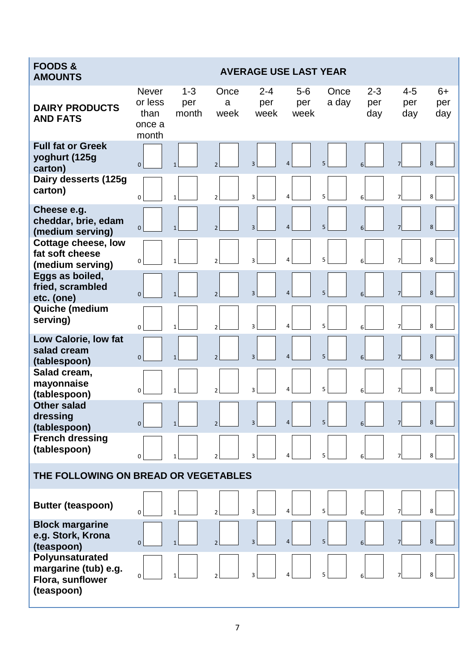| <b>FOODS&amp;</b><br><b>AMOUNTS</b>                                       |                                                    |                         |                          | <b>AVERAGE USE LAST YEAR</b> |                      |               |                       |                       |                    |
|---------------------------------------------------------------------------|----------------------------------------------------|-------------------------|--------------------------|------------------------------|----------------------|---------------|-----------------------|-----------------------|--------------------|
| <b>DAIRY PRODUCTS</b><br><b>AND FATS</b>                                  | <b>Never</b><br>or less<br>than<br>once a<br>month | $1 - 3$<br>per<br>month | Once<br>a<br>week        | $2 - 4$<br>per<br>week       | $5-6$<br>per<br>week | Once<br>a day | $2 - 3$<br>per<br>day | $4 - 5$<br>per<br>day | $6+$<br>per<br>day |
| <b>Full fat or Greek</b><br>yoghurt (125g<br>carton)                      | $\overline{0}$                                     | $\mathbf{1}$            | $\overline{\phantom{0}}$ | $\overline{3}$               | $\overline{4}$       | 5             | 6                     |                       | 8                  |
| Dairy desserts (125g<br>carton)                                           | $\Omega$                                           |                         | $\overline{\phantom{a}}$ | 3                            | 4                    | 5             |                       |                       | 8                  |
| Cheese e.g.<br>cheddar, brie, edam<br>(medium serving)                    | $\mathbf 0$                                        | $\mathbf{1}$            | $\overline{2}$           | $\overline{3}$               | $\overline{4}$       | 5             | 6                     |                       | 8                  |
| Cottage cheese, low<br>fat soft cheese<br>(medium serving)                | $\mathbf 0$                                        | $\mathbf{1}$            | $\mathfrak{p}$           | 3                            | 4                    | 5             |                       |                       | 8                  |
| Eggs as boiled,<br>fried, scrambled<br>etc. (one)                         | $\mathbf{0}$                                       | $\mathbf{1}$            |                          | $\overline{3}$               | $\overline{4}$       | 5             |                       |                       | 8                  |
| Quiche (medium<br>serving)                                                | $\Omega$                                           | $\mathbf{1}$            | $\overline{\phantom{a}}$ | 3                            | 4                    | 5             |                       |                       | 8                  |
| Low Calorie, low fat<br>salad cream<br>(tablespoon)                       | $\mathbf{0}$                                       | $\mathbf{1}$            | $\overline{2}$           | 3                            | $\overline{4}$       | 5             | 6                     | 7                     | 8                  |
| Salad cream,<br>mayonnaise<br>(tablespoon)                                | $\Omega$                                           | 1                       |                          | 3                            | 4                    | 5             |                       |                       | 8                  |
| <b>Other salad</b><br>dressing<br>(tablespoon)                            | $\mathbf{0}$                                       |                         |                          | 3                            | $\overline{4}$       | 5             |                       |                       | 8                  |
| <b>French dressing</b><br>(tablespoon)                                    | 0                                                  |                         |                          | 3                            | 4                    | 5             |                       |                       | 8                  |
| THE FOLLOWING ON BREAD OR VEGETABLES                                      |                                                    |                         |                          |                              |                      |               |                       |                       |                    |
| <b>Butter (teaspoon)</b>                                                  | 0                                                  | 1                       | $\mathfrak{p}$           | 3                            | $\overline{a}$       | 5             |                       |                       | 8                  |
| <b>Block margarine</b><br>e.g. Stork, Krona<br>(teaspoon)                 | $\mathbf 0$                                        | $\mathbf{1}$            | $\overline{\phantom{0}}$ | $\overline{3}$               | $\overline{4}$       | 5             | 6                     |                       | 8                  |
| Polyunsaturated<br>margarine (tub) e.g.<br>Flora, sunflower<br>(teaspoon) | 0                                                  |                         |                          | 3                            | 4                    | 5             |                       |                       | 8                  |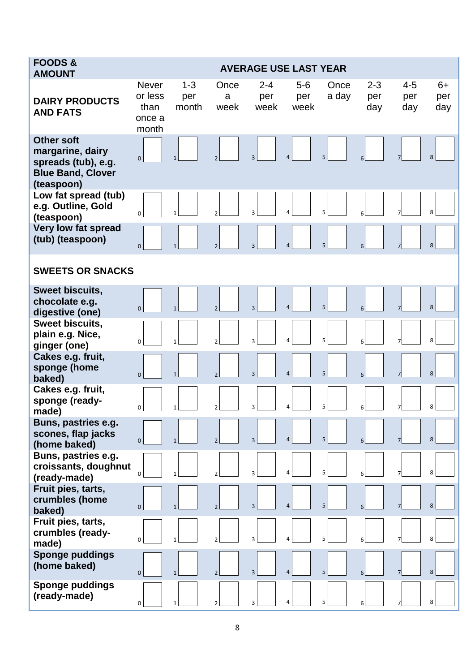| <b>FOODS&amp;</b><br><b>AMOUNT</b>                                                                     |                                                    |                         |                          | <b>AVERAGE USE LAST YEAR</b> |                      |               |                       |                       |                    |
|--------------------------------------------------------------------------------------------------------|----------------------------------------------------|-------------------------|--------------------------|------------------------------|----------------------|---------------|-----------------------|-----------------------|--------------------|
| <b>DAIRY PRODUCTS</b><br><b>AND FATS</b>                                                               | <b>Never</b><br>or less<br>than<br>once a<br>month | $1 - 3$<br>per<br>month | Once<br>a<br>week        | $2 - 4$<br>per<br>week       | $5-6$<br>per<br>week | Once<br>a day | $2 - 3$<br>per<br>day | $4 - 5$<br>per<br>day | $6+$<br>per<br>day |
| <b>Other soft</b><br>margarine, dairy<br>spreads (tub), e.g.<br><b>Blue Band, Clover</b><br>(teaspoon) | $\mathbf{0}$                                       | $\mathbf{1}$            |                          | 3                            | $\overline{4}$       | 5             |                       |                       | 8                  |
| Low fat spread (tub)<br>e.g. Outline, Gold<br>(teaspoon)                                               | $\Omega$                                           | $\mathbf{1}$            |                          | 3                            | $\overline{4}$       | 5             |                       |                       | 8                  |
| Very low fat spread<br>(tub) (teaspoon)                                                                | $\mathbf{0}$                                       | $\mathbf{1}$            | $\overline{2}$           | $\overline{3}$               | $\overline{a}$       | 5             |                       |                       | 8                  |
| <b>SWEETS OR SNACKS</b>                                                                                |                                                    |                         |                          |                              |                      |               |                       |                       |                    |
| <b>Sweet biscuits,</b><br>chocolate e.g.<br>digestive (one)                                            | $\mathbf{0}$                                       | $\mathbf{1}$            |                          | 3                            | $\overline{4}$       | 5             |                       |                       | 8                  |
| Sweet biscuits,<br>plain e.g. Nice,<br>ginger (one)                                                    | $\Omega$                                           |                         |                          | 3                            | $\overline{a}$       | 5             |                       |                       | 8                  |
| Cakes e.g. fruit,<br>sponge (home<br>baked)                                                            | $\mathbf{0}$                                       | $\mathbf{1}$            | $\overline{\phantom{0}}$ | 3                            | $\overline{4}$       | 5             |                       |                       | 8                  |
| Cakes e.g. fruit,<br>sponge (ready-<br>made)                                                           | $\mathbf 0$                                        | $\mathbf{1}$            |                          | 3                            | $\overline{4}$       | 5             |                       | 7                     | 8                  |
| Buns, pastries e.g.<br>scones, flap jacks<br>(home baked)                                              | $\mathbf{0}$                                       | $\mathbf{1}$            |                          | $\overline{3}$               | $\overline{4}$       | 5             |                       |                       | 8                  |
| Buns, pastries e.g.<br>croissants, doughnut<br>(ready-made)                                            | 0                                                  |                         |                          |                              | $\Delta$             | 5             |                       |                       | 8                  |
| Fruit pies, tarts,<br>crumbles (home<br>baked)                                                         | $\Omega$                                           |                         |                          | 3                            | $\overline{4}$       | 5             |                       |                       | 8                  |
| Fruit pies, tarts,<br>crumbles (ready-<br>made)                                                        | $\Omega$                                           |                         |                          |                              | 4                    | 5             |                       |                       | 8                  |
| <b>Sponge puddings</b><br>(home baked)                                                                 | $\Omega$                                           | $\mathbf{1}$            |                          | 3                            | $\overline{4}$       | 5             |                       |                       | 8                  |
| <b>Sponge puddings</b><br>(ready-made)                                                                 | $\mathbf 0$                                        | $\mathbf{1}$            |                          |                              | 4                    | 5             |                       |                       | 8                  |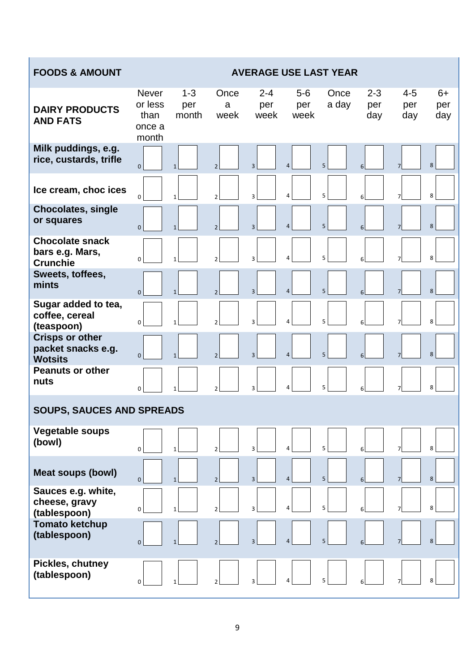| <b>FOODS &amp; AMOUNT</b>                                      |                                                    |                         |                          |                        |                      | <b>AVERAGE USE LAST YEAR</b> |                       |                       |                    |
|----------------------------------------------------------------|----------------------------------------------------|-------------------------|--------------------------|------------------------|----------------------|------------------------------|-----------------------|-----------------------|--------------------|
| <b>DAIRY PRODUCTS</b><br><b>AND FATS</b>                       | <b>Never</b><br>or less<br>than<br>once a<br>month | $1 - 3$<br>per<br>month | Once<br>a<br>week        | $2 - 4$<br>per<br>week | $5-6$<br>per<br>week | Once<br>a day                | $2 - 3$<br>per<br>day | $4 - 5$<br>per<br>day | $6+$<br>per<br>day |
| Milk puddings, e.g.<br>rice, custards, trifle                  | $\mathbf 0$                                        |                         | $\overline{\phantom{0}}$ | 3                      | $\overline{a}$       | 5                            | 6                     |                       | 8                  |
| Ice cream, choc ices                                           | $\mathbf 0$                                        | $\mathbf{1}$            | $\overline{2}$           | $\overline{3}$         | $\overline{4}$       | 5                            | 6                     | 7                     | 8                  |
| <b>Chocolates, single</b><br>or squares                        | $\Omega$                                           |                         | $\overline{2}$           | 3                      | $\overline{4}$       | 5                            | 6                     | $\overline{7}$        | 8                  |
| <b>Chocolate snack</b><br>bars e.g. Mars,<br><b>Crunchie</b>   | $\Omega$                                           |                         | $\overline{2}$           | 3                      | 4                    | 5                            | 6                     |                       | 8                  |
| Sweets, toffees,<br>mints                                      | $\mathbf{0}$                                       |                         | $\overline{2}$           | 3                      | 4                    | 5                            | 6                     |                       | 8                  |
| Sugar added to tea,<br>coffee, cereal<br>(teaspoon)            | 0                                                  |                         | $\overline{2}$           | 3                      | 4                    | 5                            | 6                     | 7                     | 8                  |
| <b>Crisps or other</b><br>packet snacks e.g.<br><b>Wotsits</b> | $\overline{0}$                                     |                         | $\overline{\phantom{a}}$ | 3                      | $\overline{4}$       | 5                            | 6                     | $\overline{7}$        | 8                  |
| <b>Peanuts or other</b><br>nuts                                | 0                                                  |                         | $\overline{2}$           | 3                      | 4                    | 5                            | 6                     | 7                     | 8                  |
| <b>SOUPS, SAUCES AND SPREADS</b>                               |                                                    |                         |                          |                        |                      |                              |                       |                       |                    |
| <b>Vegetable soups</b><br>(bowl)                               | 0                                                  |                         | $\mathfrak{p}$           | 3                      | 4                    | 5                            |                       |                       | 8                  |
| <b>Meat soups (bowl)</b>                                       | $\overline{0}$                                     |                         | $\overline{2}$           | $\overline{3}$         | 4                    | 5                            | 6                     | $\overline{7}$        | 8                  |
| Sauces e.g. white,<br>cheese, gravy<br>(tablespoon)            | 0                                                  |                         | $\overline{2}$           | 3                      | 4                    | 5                            | 6                     | 7                     | 8                  |
| <b>Tomato ketchup</b><br>(tablespoon)                          | $\overline{0}$                                     |                         |                          | 3                      | 4                    | 5                            | 6                     |                       | 8                  |
| <b>Pickles, chutney</b><br>(tablespoon)                        | O                                                  |                         | $\mathfrak{p}$           | 3                      | 4                    | 5                            |                       |                       | 8                  |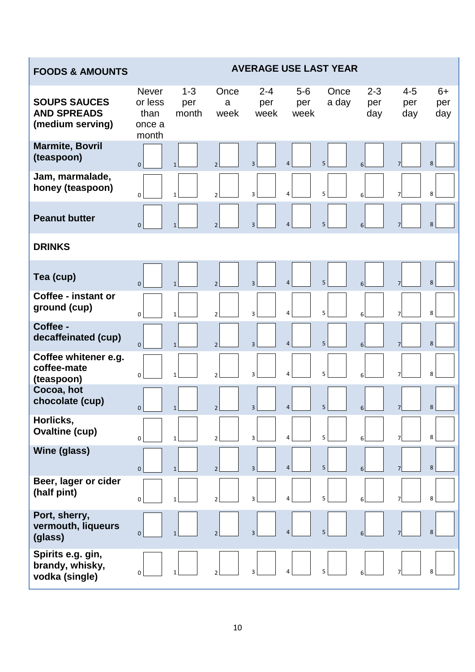### **FOODS & AMOUNTS AVERAGE USE LAST YEAR**

| <b>SOUPS SAUCES</b><br><b>AND SPREADS</b><br>(medium serving) | <b>Never</b><br>or less<br>than<br>once a<br>month | $1 - 3$<br>per<br>month | Once<br>a<br>week | $2 - 4$<br>per<br>week  | $5-6$<br>per<br>week | Once<br>a day  | $2 - 3$<br>per<br>day | $4 - 5$<br>per<br>day | $6+$<br>per<br>day |
|---------------------------------------------------------------|----------------------------------------------------|-------------------------|-------------------|-------------------------|----------------------|----------------|-----------------------|-----------------------|--------------------|
| <b>Marmite, Bovril</b><br>(teaspoon)                          | $\mathbf{0}$                                       | $\mathbf{1}$            | $\overline{2}$    | $\overline{3}$          | $\overline{4}$       | 5              | 6                     |                       | 8                  |
| Jam, marmalade,<br>honey (teaspoon)                           | 0                                                  | $\mathbf{1}$            | $\overline{2}$    | 3                       | 4                    | 5              | 6                     |                       | 8                  |
| <b>Peanut butter</b>                                          | $\mathbf 0$                                        | $\mathbf{1}$            | $\overline{2}$    | $\overline{3}$          | $\overline{4}$       | 5              | 6                     | $\overline{7}$        | 8                  |
| <b>DRINKS</b>                                                 |                                                    |                         |                   |                         |                      |                |                       |                       |                    |
| Tea (cup)                                                     | $\Omega$                                           | $\mathbf{1}$            | $\overline{2}$    | $\overline{3}$          | $\overline{4}$       | 5              |                       |                       | 8                  |
| Coffee - instant or<br>ground (cup)                           | $\Omega$                                           | $\mathbf{1}$            | $\overline{2}$    | 3                       | 4                    | 5              |                       |                       | 8                  |
| Coffee -<br>decaffeinated (cup)                               | $\overline{0}$                                     | $\mathbf{1}$            | $\overline{2}$    | $\overline{3}$          | $\overline{4}$       | 5              | 6                     | $\overline{7}$        | 8                  |
| Coffee whitener e.g.<br>coffee-mate<br>(teaspoon)             | $\Omega$                                           | $\mathbf{1}$            | $\overline{2}$    | 3                       | $\overline{a}$       | 5              |                       |                       | 8                  |
| Cocoa, hot<br>chocolate (cup)                                 | $\mathbf{0}$                                       | $\mathbf{1}$            | $\overline{2}$    | $\overline{3}$          | $\overline{4}$       | 5              | 6                     |                       | 8                  |
| Horlicks,<br><b>Ovaltine (cup)</b>                            | $\overline{0}$                                     | $1\vert$                | 2                 | $\overline{\mathbf{3}}$ | 4                    | 5 <sup>1</sup> | 6 <sup>1</sup>        | 7 <sup>1</sup>        | 8                  |
| Wine (glass)                                                  | $\mathbf 0$                                        | $\mathbf{1}$            | $\overline{2}$    | $\overline{3}$          | $\overline{4}$       | 5 <sup>1</sup> | 6                     |                       | 8                  |
| Beer, lager or cider<br>(half pint)                           | $\Omega$                                           | 1                       | $\overline{2}$    | 3                       | $\overline{a}$       | 5              |                       |                       | 8                  |
| Port, sherry,<br>vermouth, liqueurs<br>(glass)                | 0                                                  |                         | $\mathfrak{p}$    | $\overline{3}$          | $\overline{4}$       | 5              |                       |                       | 8                  |
| Spirits e.g. gin,<br>brandy, whisky,<br>vodka (single)        | 0                                                  |                         |                   | 3                       | 4                    | 5              |                       |                       | 8                  |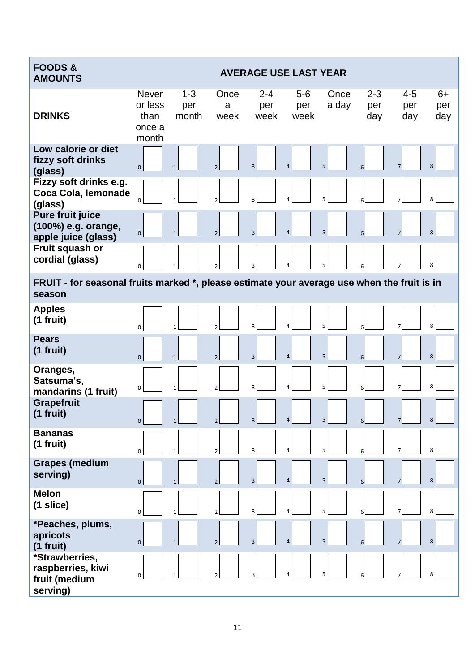| <b>FOODS&amp;</b><br><b>AMOUNTS</b>                                                                   | <b>AVERAGE USE LAST YEAR</b>                       |                         |                          |                         |                      |               |                       |                       |                    |  |  |
|-------------------------------------------------------------------------------------------------------|----------------------------------------------------|-------------------------|--------------------------|-------------------------|----------------------|---------------|-----------------------|-----------------------|--------------------|--|--|
| <b>DRINKS</b>                                                                                         | <b>Never</b><br>or less<br>than<br>once a<br>month | $1 - 3$<br>per<br>month | Once<br>a<br>week        | $2 - 4$<br>per<br>week  | $5-6$<br>per<br>week | Once<br>a day | $2 - 3$<br>per<br>day | $4 - 5$<br>per<br>day | $6+$<br>per<br>day |  |  |
| Low calorie or diet<br>fizzy soft drinks<br>(glass)                                                   | $\mathbf 0$                                        | $\mathbf{1}$            | $\overline{\phantom{a}}$ | $\overline{3}$          | $\overline{4}$       | 5             |                       | $\overline{7}$        | 8                  |  |  |
| Fizzy soft drinks e.g.<br>Coca Cola, lemonade<br>(glass)                                              | $\Omega$                                           | $\mathbf{1}$            | $\mathfrak{p}$           | 3                       | 4                    | 5             |                       |                       | 8                  |  |  |
| <b>Pure fruit juice</b><br>(100%) e.g. orange,<br>apple juice (glass)                                 | $\overline{0}$                                     | $\mathbf{1}$            | $\overline{2}$           | $\overline{3}$          | $\overline{4}$       | 5             | 6                     | $\overline{7}$        | 8                  |  |  |
| Fruit squash or<br>cordial (glass)                                                                    | $\mathbf 0$                                        | $\mathbf{1}$            |                          | $\overline{\mathbf{3}}$ | 4                    | 5             |                       |                       | 8                  |  |  |
| FRUIT - for seasonal fruits marked *, please estimate your average use when the fruit is in<br>season |                                                    |                         |                          |                         |                      |               |                       |                       |                    |  |  |
| <b>Apples</b><br>$(1$ fruit)                                                                          | $\Omega$                                           | $\mathbf{1}$            | $\overline{2}$           | 3                       | 4                    | 5             |                       |                       | 8                  |  |  |
| <b>Pears</b><br>$(1$ fruit)                                                                           | $\overline{0}$                                     | $\mathbf{1}$            | $\overline{2}$           | $\overline{3}$          | $\overline{4}$       | 5             | 6                     | $\overline{7}$        | 8                  |  |  |
| Oranges,<br>Satsuma's,<br>mandarins (1 fruit)                                                         | $\mathbf 0$                                        | $\mathbf{1}$            | $\mathfrak{p}$           | 3                       | 4                    | 5             |                       |                       | 8                  |  |  |
| <b>Grapefruit</b><br>$(1$ fruit)                                                                      | $\mathbf 0$                                        | $\mathbf{1}$            | $\overline{2}$           | $\overline{3}$          | $\overline{4}$       | 5             |                       | $\overline{7}$        | 8                  |  |  |
| <b>Bananas</b><br>$(1$ fruit)                                                                         | $\mathbf 0$                                        | $\mathbf{1}$            | $\overline{2}$           | 3                       | 4                    | 5             |                       |                       | 8                  |  |  |
| <b>Grapes (medium</b><br>serving)                                                                     | $\mathbf{0}$                                       | $\mathbf{1}$            | $\overline{2}$           | $\overline{3}$          | $\overline{4}$       | 5             | 6                     | 7                     | 8                  |  |  |
| <b>Melon</b><br>$(1 \text{ slice})$                                                                   | $\mathbf 0$                                        | $\mathbf{1}$            | $\overline{2}$           | 3                       | 4                    | 5             | 6                     | $\overline{7}$        | 8                  |  |  |
| *Peaches, plums,<br>apricots<br>(1 fruit)                                                             | $\mathbf{0}$                                       | $\mathbf{1}$            | $\overline{2}$           | $\overline{3}$          | 4                    | 5             | 6                     |                       | 8                  |  |  |
| *Strawberries,<br>raspberries, kiwi<br>fruit (medium<br>serving)                                      | 0                                                  | $\mathbf{1}$            | $\overline{2}$           | 3                       | 4                    | 5             |                       |                       | 8                  |  |  |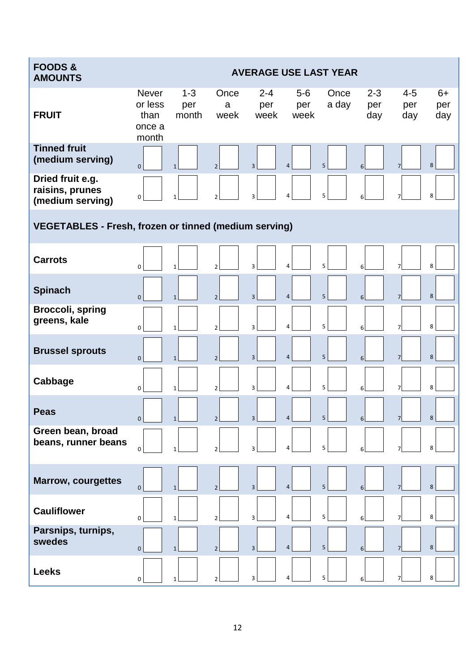| <b>FOODS &amp;</b><br><b>AMOUNTS</b>                         |                                                    |                         |                          |                        |                         | <b>AVERAGE USE LAST YEAR</b> |                       |                       |                    |
|--------------------------------------------------------------|----------------------------------------------------|-------------------------|--------------------------|------------------------|-------------------------|------------------------------|-----------------------|-----------------------|--------------------|
| <b>FRUIT</b>                                                 | <b>Never</b><br>or less<br>than<br>once a<br>month | $1 - 3$<br>per<br>month | Once<br>a<br>week        | $2 - 4$<br>per<br>week | $5-6$<br>per<br>week    | Once<br>a day                | $2 - 3$<br>per<br>day | $4 - 5$<br>per<br>day | $6+$<br>per<br>day |
| <b>Tinned fruit</b><br>(medium serving)                      | $\mathbf{0}$                                       | $\mathbf{1}$            | $\overline{2}$           | $\overline{3}$         | $\overline{4}$          | 5                            |                       | $\overline{7}$        | 8                  |
| Dried fruit e.g.<br>raisins, prunes<br>(medium serving)      | 0                                                  | $\mathbf{1}$            | $\overline{2}$           | 3                      | 4                       | 5                            | 6                     | $\overline{7}$        | 8                  |
| <b>VEGETABLES - Fresh, frozen or tinned (medium serving)</b> |                                                    |                         |                          |                        |                         |                              |                       |                       |                    |
| <b>Carrots</b>                                               | $\mathbf 0$                                        | $\mathbf{1}$            | $\overline{\phantom{0}}$ | 3                      | $\overline{\mathbf{4}}$ | 5                            |                       |                       | 8                  |
| <b>Spinach</b>                                               | $\mathbf{0}$                                       | $\mathbf{1}$            | $\overline{2}$           | $\overline{3}$         | $\overline{4}$          | 5                            | 6                     | $\overline{7}$        | 8                  |
| <b>Broccoli, spring</b><br>greens, kale                      | $\mathbf 0$                                        | $\mathbf{1}$            | $\overline{2}$           | 3                      | 4                       | 5                            | 6                     | $\overline{7}$        | 8                  |
| <b>Brussel sprouts</b>                                       | $\mathbf{0}$                                       | $\mathbf{1}$            | $\mathfrak{p}$           | $\overline{3}$         | $\overline{4}$          | 5                            | 6                     | $\overline{7}$        | 8                  |
| Cabbage                                                      | $\Omega$                                           |                         | $\mathfrak{p}$           | 3                      | $\overline{a}$          | 5                            |                       | $\overline{7}$        | 8                  |
| <b>Peas</b>                                                  | $\overline{0}$                                     | $\mathbf{1}$            | $\overline{2}$           | $\overline{3}$         | $\overline{4}$          | $\overline{5}$               | 6                     | $\overline{7}$        | $\bf 8$            |
| Green bean, broad<br>beans, runner beans                     | 0                                                  |                         | $\overline{2}$           | 3                      | 4                       | 5                            |                       | 7                     | 8                  |
| <b>Marrow, courgettes</b>                                    | $\mathbf{0}$                                       |                         | $\overline{2}$           | $\overline{3}$         | $\overline{4}$          | 5                            |                       |                       | 8                  |
| <b>Cauliflower</b>                                           | $\mathbf 0$                                        | 1                       | $\overline{2}$           | 3                      | 4                       | 5                            | 6                     | $\overline{7}$        | 8                  |
| Parsnips, turnips,<br>swedes                                 | $\mathbf{0}$                                       | $\mathbf{1}$            | $\overline{2}$           | $\overline{3}$         | $\overline{4}$          | 5                            | 6                     | $\overline{7}$        | 8                  |
| <b>Leeks</b>                                                 | 0                                                  | $\mathbf{1}$            |                          | 3                      | 4                       | 5                            |                       |                       | 8                  |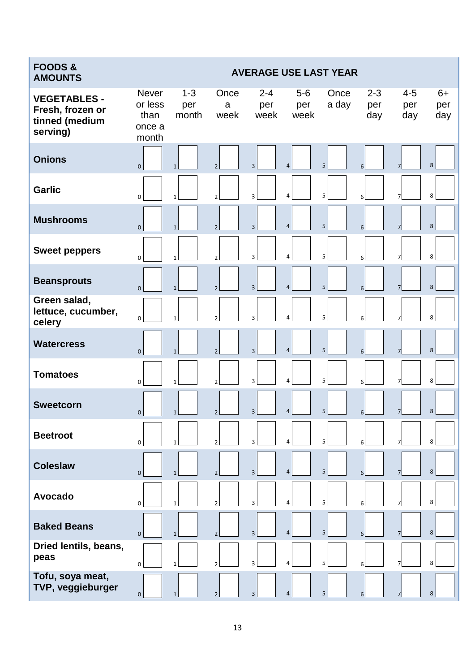| <b>FOODS &amp;</b><br><b>AMOUNTS</b>                                  |                                                    |                         |                   |                        | <b>AVERAGE USE LAST YEAR</b> |               |                       |                       |                    |
|-----------------------------------------------------------------------|----------------------------------------------------|-------------------------|-------------------|------------------------|------------------------------|---------------|-----------------------|-----------------------|--------------------|
| <b>VEGETABLES -</b><br>Fresh, frozen or<br>tinned (medium<br>serving) | <b>Never</b><br>or less<br>than<br>once a<br>month | $1 - 3$<br>per<br>month | Once<br>a<br>week | $2 - 4$<br>per<br>week | $5-6$<br>per<br>week         | Once<br>a day | $2 - 3$<br>per<br>day | $4 - 5$<br>per<br>day | $6+$<br>per<br>day |
| <b>Onions</b>                                                         | $\mathbf 0$                                        | $\mathbf{1}$            | $\mathfrak{p}$    | $\overline{3}$         | $\overline{4}$               | 5             | 6                     |                       | 8                  |
| <b>Garlic</b>                                                         | $\mathbf 0$                                        | $\mathbf{1}$            | $\overline{2}$    | 3                      | 4                            | 5             | 6                     |                       | 8                  |
| <b>Mushrooms</b>                                                      | $\mathbf{0}$                                       | $\mathbf{1}$            | $\overline{2}$    | $\overline{3}$         | $\overline{4}$               | 5             | 6                     | $\overline{7}$        | 8                  |
| <b>Sweet peppers</b>                                                  | 0                                                  | $\mathbf{1}$            | $\overline{2}$    | 3                      | 4                            | 5             |                       |                       | 8                  |
| <b>Beansprouts</b>                                                    | $\mathbf{0}$                                       | $\mathbf{1}$            | $\overline{2}$    | $\overline{3}$         | $\overline{4}$               | 5             | 6                     | $\overline{7}$        | 8                  |
| Green salad,<br>lettuce, cucumber,<br>celery                          | $\mathbf 0$                                        | $\mathbf{1}$            | $\overline{2}$    | 3                      | 4                            | 5             |                       |                       | 8                  |
| <b>Watercress</b>                                                     | $\mathbf{0}$                                       | $\mathbf{1}$            | $\overline{2}$    | $\overline{3}$         | $\overline{4}$               | 5             | 6                     | $\overline{7}$        | 8                  |
| <b>Tomatoes</b>                                                       | $\Omega$                                           | 1                       | $\mathfrak{p}$    | 3                      | 4                            | 5             |                       |                       | 8                  |
| <b>Sweetcorn</b>                                                      | $\mathbf 0$                                        | $\mathbf{1}$            | $\overline{2}$    | 3                      | $\overline{4}$               | 5             | 6                     | 7                     | 8                  |
| <b>Beetroot</b>                                                       | $\mathbf 0$                                        | $\mathbf{1}$            | $\overline{2}$    | 3                      | 4                            | 5             |                       |                       | 8                  |
| <b>Coleslaw</b>                                                       | $\mathbf 0$                                        | $\mathbf{1}$            | $\overline{2}$    | 3                      | $\overline{4}$               | 5             | 6                     |                       | 8                  |
| Avocado                                                               | 0                                                  | $\mathbf{1}$            | $\overline{2}$    | 3                      | 4                            | 5             |                       |                       | 8                  |
| <b>Baked Beans</b>                                                    | $\mathbf{0}$                                       | $\mathbf{1}$            | $\overline{2}$    | $\overline{3}$         | $\overline{4}$               | 5             | 6                     | $\overline{7}$        | 8                  |
| Dried lentils, beans,<br>peas                                         | $\pmb{0}$                                          | $\mathbf{1}$            | $\overline{2}$    | 3                      | $\overline{4}$               | 5             | 6                     |                       | 8                  |
| Tofu, soya meat,<br>TVP, veggieburger                                 | $\mathbf{0}$                                       | $\mathbf{1}$            | $\overline{2}$    | $\overline{3}$         | $\overline{4}$               | 5             | 6                     | 7                     | $\,8\,$            |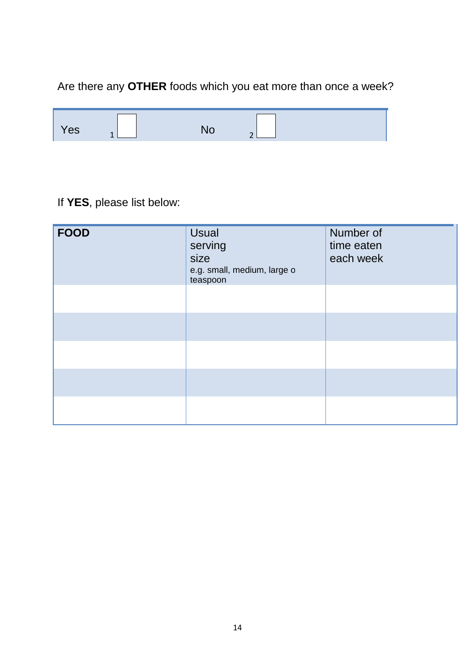# Are there any **OTHER** foods which you eat more than once a week?

| 'es<br>$\ddot{\phantom{0}}$<br>∽ |
|----------------------------------|
|----------------------------------|

## If **YES**, please list below:

| <b>FOOD</b> | <b>Usual</b><br>serving<br>size<br>e.g. small, medium, large o<br>teaspoon | Number of<br>time eaten<br>each week |
|-------------|----------------------------------------------------------------------------|--------------------------------------|
|             |                                                                            |                                      |
|             |                                                                            |                                      |
|             |                                                                            |                                      |
|             |                                                                            |                                      |
|             |                                                                            |                                      |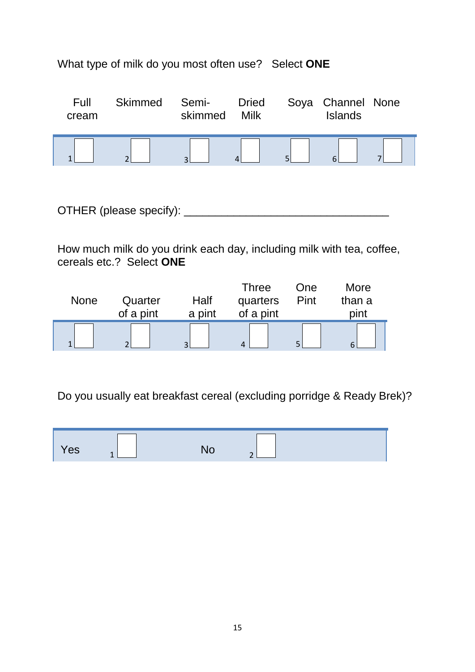### What type of milk do you most often use?Select **ONE**

| Full<br>cream | <b>Skimmed</b> | Semi-<br>skimmed         | <b>Dried</b><br>Milk | Soya Channel None<br><b>Islands</b> |  |
|---------------|----------------|--------------------------|----------------------|-------------------------------------|--|
|               |                | $\overline{\phantom{0}}$ |                      |                                     |  |

OTHER (please specify): \_\_\_\_\_\_\_\_\_\_\_\_\_\_\_\_\_\_\_\_\_\_\_\_\_\_\_\_\_\_\_\_\_

How much milk do you drink each day, including milk with tea, coffee, cereals etc.? Select **ONE**

| <b>None</b> | Quarter<br>of a pint | Half<br>a pint           | Three<br>quarters<br>of a pint | One<br>Pint | More<br>than a<br>pint |
|-------------|----------------------|--------------------------|--------------------------------|-------------|------------------------|
|             | ◠                    | $\overline{\phantom{0}}$ | $\Lambda$                      |             |                        |

Do you usually eat breakfast cereal (excluding porridge & Ready Brek)?

| Yes<br><b>INU</b><br>$\overline{\phantom{a}}$ | $\sim$ |
|-----------------------------------------------|--------|
|-----------------------------------------------|--------|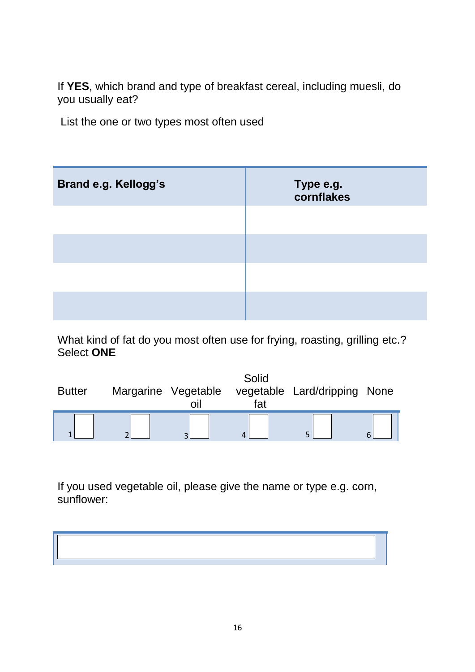If **YES**, which brand and type of breakfast cereal, including muesli, do you usually eat?

List the one or two types most often used

| <b>Brand e.g. Kellogg's</b> | Type e.g.<br>cornflakes |
|-----------------------------|-------------------------|
|                             |                         |
|                             |                         |
|                             |                         |
|                             |                         |

What kind of fat do you most often use for frying, roasting, grilling etc.? Select **ONE**

| <b>Butter</b> | Margarine Vegetable<br>OII | Solid<br>vegetable<br>fat | Lard/dripping | None |
|---------------|----------------------------|---------------------------|---------------|------|
|               |                            | 4                         |               |      |

If you used vegetable oil, please give the name or type e.g. corn, sunflower:

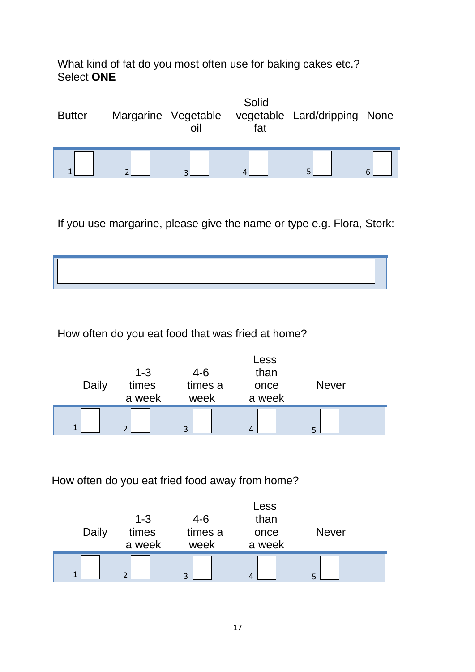What kind of fat do you most often use for baking cakes etc.? Select **ONE**

| <b>Butter</b> |   | Margarine Vegetable<br>oil | Solid<br>fat | vegetable Lard/dripping None |  |
|---------------|---|----------------------------|--------------|------------------------------|--|
|               | ∼ |                            | 4            |                              |  |

If you use margarine, please give the name or type e.g. Flora, Stork:



How often do you eat food that was fried at home?

| Daily | $1 - 3$<br>times<br>a week | $4-6$<br>times a<br>week | Less<br>than<br>once<br>a week | <b>Never</b> |  |
|-------|----------------------------|--------------------------|--------------------------------|--------------|--|
|       | $\mathcal{D}$              | 3                        | 4                              |              |  |

How often do you eat fried food away from home?

| $\mathbf{I}$ | a week<br>C.     | week<br>3        | a week               | с            |  |
|--------------|------------------|------------------|----------------------|--------------|--|
| Daily        | $1 - 3$<br>times | $4-6$<br>times a | Less<br>than<br>once | <b>Never</b> |  |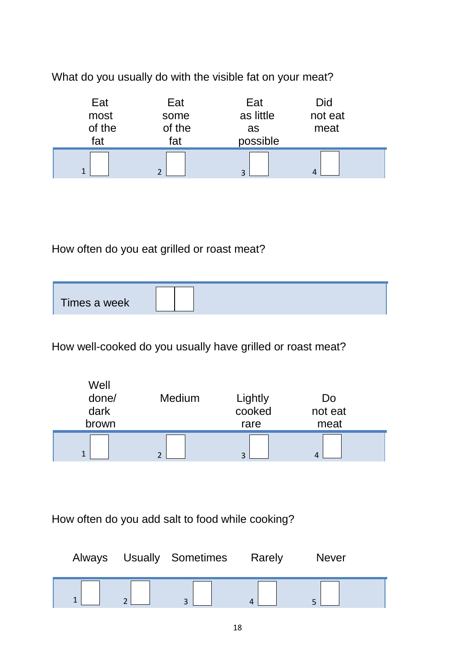What do you usually do with the visible fat on your meat?

| Eat<br>most<br>of the<br>fat | Eat<br>some<br>of the<br>fat | Eat<br>as little<br>as<br>possible | Did<br>not eat<br>meat |  |
|------------------------------|------------------------------|------------------------------------|------------------------|--|
|                              | ∍                            | ∍                                  |                        |  |

How often do you eat grilled or roast meat?

| Times a week |
|--------------|
|--------------|

How well-cooked do you usually have grilled or roast meat?

| Well<br>done/<br>dark<br>brown | Medium | Lightly<br>cooked<br>rare | Do<br>not eat<br>meat |  |
|--------------------------------|--------|---------------------------|-----------------------|--|
| $\blacktriangleleft$           |        | $\overline{\mathbf{z}}$   |                       |  |

How often do you add salt to food while cooking?

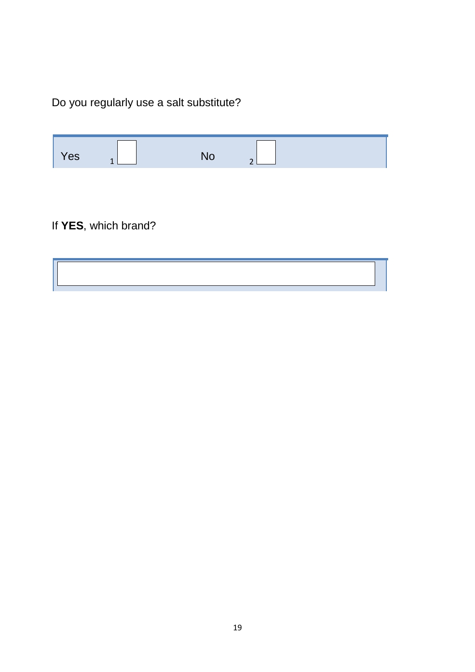Do you regularly use a salt substitute?

| $\sqrt{es}$ |  | - |  |
|-------------|--|---|--|
|             |  |   |  |

If **YES**, which brand?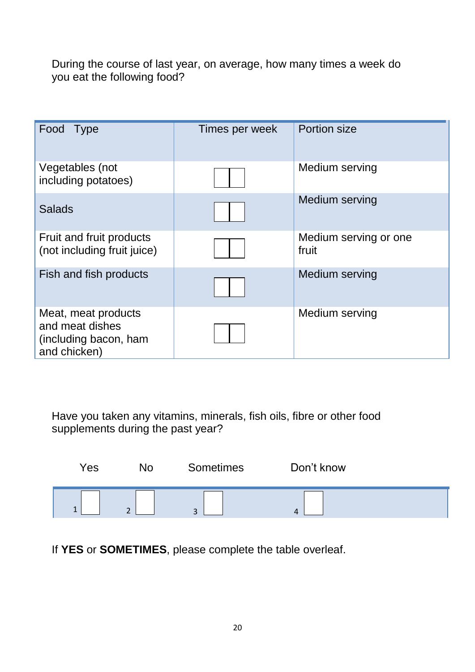During the course of last year, on average, how many times a week do you eat the following food?

| Food Type                                                                       | Times per week | Portion size                   |
|---------------------------------------------------------------------------------|----------------|--------------------------------|
| Vegetables (not<br>including potatoes)                                          |                | Medium serving                 |
| <b>Salads</b>                                                                   |                | Medium serving                 |
| Fruit and fruit products<br>(not including fruit juice)                         |                | Medium serving or one<br>fruit |
| Fish and fish products                                                          |                | Medium serving                 |
| Meat, meat products<br>and meat dishes<br>(including bacon, ham<br>and chicken) |                | Medium serving                 |

Have you taken any vitamins, minerals, fish oils, fibre or other food supplements during the past year?

| Yes |                                      | Sometimes | Don't know |  |
|-----|--------------------------------------|-----------|------------|--|
| ∸   | $\overline{\phantom{0}}$<br><u>.</u> | $\sim$    | 4          |  |

If **YES** or **SOMETIMES**, please complete the table overleaf.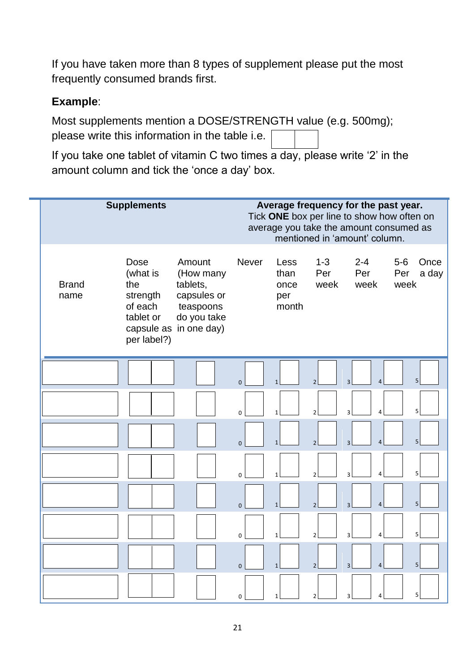If you have taken more than 8 types of supplement please put the most frequently consumed brands first.

### **Example**:

Most supplements mention a DOSE/STRENGTH value (e.g. 500mg); please write this information in the table i.e. 500 mg

If you take one tablet of vitamin C two times a day, please write '2' in the amount column and tick the 'once a day' box.

| <b>Supplements</b>   |                                                                            |                                                                                                      |              | Average frequency for the past year.<br>Tick ONE box per line to show how often on<br>average you take the amount consumed as<br>mentioned in 'amount' column. |                        |                                  |                                       |  |
|----------------------|----------------------------------------------------------------------------|------------------------------------------------------------------------------------------------------|--------------|----------------------------------------------------------------------------------------------------------------------------------------------------------------|------------------------|----------------------------------|---------------------------------------|--|
| <b>Brand</b><br>name | Dose<br>(what is<br>the<br>strength<br>of each<br>tablet or<br>per label?) | Amount<br>(How many<br>tablets,<br>capsules or<br>teaspoons<br>do you take<br>capsule as in one day) | <b>Never</b> | Less<br>than<br>once<br>per<br>month                                                                                                                           | $1 - 3$<br>Per<br>week | $2 - 4$<br>Per<br>week           | $5-6$<br>Once<br>Per<br>a day<br>week |  |
|                      |                                                                            |                                                                                                      | $\Omega$     | $\mathbf{1}$                                                                                                                                                   | $\overline{2}$         | $\overline{4}$<br>$\overline{3}$ | 5                                     |  |
|                      |                                                                            |                                                                                                      | $\Omega$     | $\mathbf{1}$                                                                                                                                                   | $\overline{2}$         | 4<br>$\overline{3}$              | 5                                     |  |
|                      |                                                                            |                                                                                                      | $\Omega$     | $\mathbf{1}$                                                                                                                                                   | $\overline{2}$         | $\overline{4}$<br>$\overline{3}$ | 5                                     |  |
|                      |                                                                            |                                                                                                      | $\Omega$     | $\mathbf{1}$                                                                                                                                                   | $\overline{2}$         | 4<br>3                           | 5                                     |  |
|                      |                                                                            |                                                                                                      | $\mathbf{0}$ | $\mathbf{1}$                                                                                                                                                   | $\overline{2}$         | $\overline{4}$<br>3              | 5                                     |  |
|                      |                                                                            |                                                                                                      | $\mathbf 0$  | $\mathbf{1}$                                                                                                                                                   | $\overline{2}$         | $\overline{3}$<br>4              | 5                                     |  |
|                      |                                                                            |                                                                                                      | $\mathbf{0}$ | $\mathbf{1}$                                                                                                                                                   | $\overline{2}$         | $\overline{4}$<br>$\overline{3}$ | 5                                     |  |
|                      |                                                                            |                                                                                                      | 0            | $\mathbf{1}$                                                                                                                                                   | $\overline{2}$         | 4<br>3                           | 5                                     |  |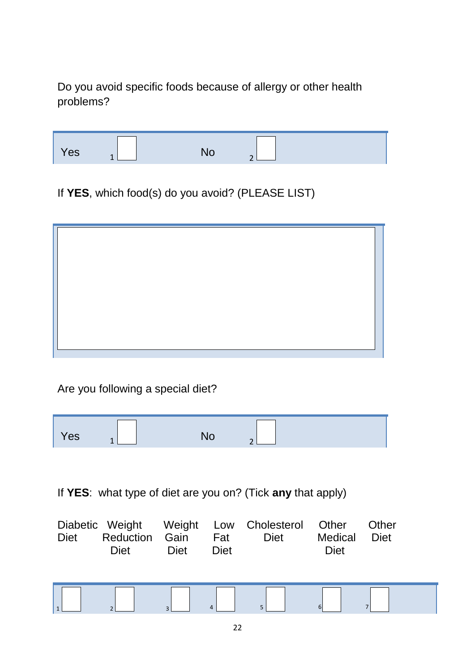Do you avoid specific foods because of allergy or other health problems?

| - | es |
|---|----|
|---|----|

If **YES**, which food(s) do you avoid? (PLEASE LIST)

Are you following a special diet?

| Yes |
|-----|
|-----|

If **YES**: what type of diet are you on? (Tick **any** that apply)

| <b>Diet</b>  | <b>Reduction</b> | Gain           | Fat         | Diabetic Weight Weight Low Cholesterol Other | <b>Medical</b> | Other       |
|--------------|------------------|----------------|-------------|----------------------------------------------|----------------|-------------|
|              | <b>Diet</b>      | <b>Diet</b>    | <b>Diet</b> | <b>Diet</b>                                  | <b>Diet</b>    | <b>Diet</b> |
| $\mathbf{1}$ | $\sim$           | $\overline{a}$ | 4           | 5                                            | 6              |             |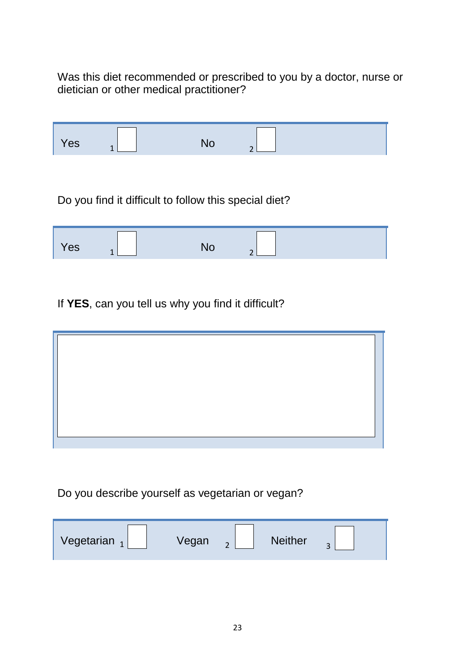Was this diet recommended or prescribed to you by a doctor, nurse or dietician or other medical practitioner?

| Yes | $\mathbf{1}$ | <b>No</b>                                             | $\mathcal{D}$ |  |
|-----|--------------|-------------------------------------------------------|---------------|--|
|     |              |                                                       |               |  |
|     |              | Do you find it difficult to follow this special diet? |               |  |
| Yes | 1            | <b>No</b>                                             | ∍             |  |

If **YES**, can you tell us why you find it difficult?

Do you describe yourself as vegetarian or vegan?

| Vegetarian <sub>1</sub> | Vegan | <b>Neither</b> | $\sim$ |
|-------------------------|-------|----------------|--------|
|                         |       |                |        |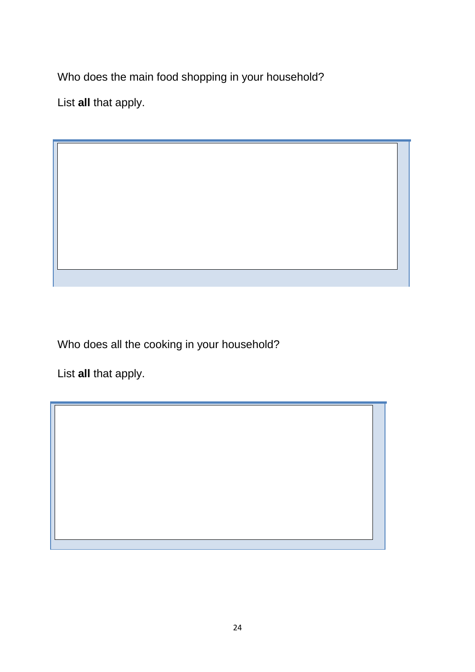Who does the main food shopping in your household?

List **all** that apply.

 $\sqrt{}$ 

Who does all the cooking in your household?

List **all** that apply.

 $\overline{\phantom{a}}$